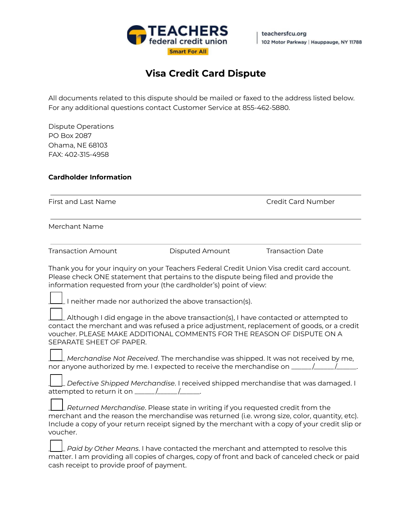

## **Visa Credit Card Dispute**

All documents related to this dispute should be mailed or faxed to the address listed below. For any additional questions contact Customer Service at 855-462-5880.

| Dispute Operations |
|--------------------|
| <b>PO Box 2087</b> |
| Ohama, NE 68103    |
| FAX: 402-315-4958  |

## **Cardholder Information**

First and Last Name Credit Card Number

Merchant Name

Disputed Amount Transaction Date

Thank you for your inquiry on your Teachers Federal Credit Union Visa credit card account. Please check ONE statement that pertains to the dispute being filed and provide the information requested from your (the cardholder's) point of view:

\_\_\_\_\_ I neither made nor authorized the above transaction(s).

\_\_\_\_\_ Although I did engage in the above transaction(s), I have contacted or attempted to contact the merchant and was refused a price adjustment, replacement of goods, or a credit voucher. PLEASE MAKE ADDITIONAL COMMENTS FOR THE REASON OF DISPUTE ON A SEPARATE SHEET OF PAPER.

\_\_\_\_\_ *Merchandise Not Received*. The merchandise was shipped. It was not received by me, nor anyone authorized by me. I expected to receive the merchandise on  $\frac{1}{\sqrt{1-\frac{1}{n}}}$ 

\_\_\_\_\_ *Defective Shipped Merchandise*. I received shipped merchandise that was damaged. I attempted to return it on  $\frac{\mu}{\sigma}$ 

\_\_\_\_\_ *Returned Merchandise*. Please state in writing if you requested credit from the merchant and the reason the merchandise was returned (i.e. wrong size, color, quantity, etc). Include a copy of your return receipt signed by the merchant with a copy of your credit slip or voucher.

\_\_\_\_\_ *Paid by Other Means*. I have contacted the merchant and attempted to resolve this matter. I am providing all copies of charges, copy of front and back of canceled check or paid cash receipt to provide proof of payment.